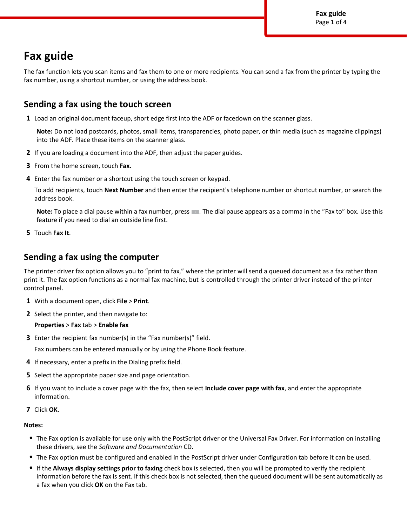# **Fax guide**

The fax function lets you scan items and fax them to one or more recipients. You can send a fax from the printer by typing the fax number, using a shortcut number, or using the address book.

# **Sending a fax using the touch screen**

**1** Load an original document faceup, short edge first into the ADF or facedown on the scanner glass.

**Note:** Do not load postcards, photos, small items, transparencies, photo paper, or thin media (such as magazine clippings) into the ADF. Place these items on the scanner glass.

- **2** If you are loading a document into the ADF, then adjust the paper guides.
- **3** From the home screen, touch **Fax**.
- **4** Enter the fax number or a shortcut using the touch screen or keypad.

To add recipients, touch **Next Number** and then enter the recipient's telephone number or shortcut number, or search the address book.

Note: To place a dial pause within a fax number, press . The dial pause appears as a comma in the "Fax to" box. Use this feature if you need to dial an outside line first.

**5** Touch **Fax It**.

# **Sending a fax using the computer**

The printer driver fax option allows you to "print to fax," where the printer will send a queued document as a fax rather than print it. The fax option functions as a normal fax machine, but is controlled through the printer driver instead of the printer control panel.

- **1** With a document open, click **File** > **Print**.
- **2** Select the printer, and then navigate to:

#### **Properties** > **Fax** tab > **Enable fax**

**3** Enter the recipient fax number(s) in the "Fax number(s)" field.

Fax numbers can be entered manually or by using the Phone Book feature.

- **4** If necessary, enter a prefix in the Dialing prefix field.
- **5** Select the appropriate paper size and page orientation.
- **6** If you want to include a cover page with the fax, then select **Include cover page with fax**, and enter the appropriate information.
- **7** Click **OK**.

#### **Notes:**

- **•** The Fax option is available for use only with the PostScript driver or the Universal Fax Driver. For information on installing these drivers, see the *Software and Documentation* CD.
- **•** The Fax option must be configured and enabled in the PostScript driver under Configuration tab before it can be used.
- **•** If the **Always display settings prior to faxing** check box is selected, then you will be prompted to verify the recipient information before the fax is sent. If this check box is not selected, then the queued document will be sent automatically as a fax when you click **OK** on the Fax tab.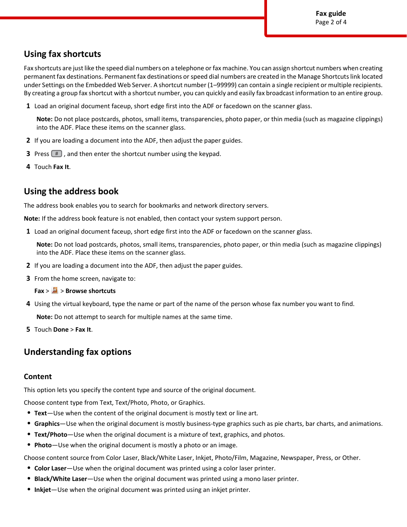# **Using fax shortcuts**

Fax shortcuts are just like the speed dial numbers on a telephone or fax machine. You can assign shortcut numbers when creating permanent fax destinations. Permanent fax destinations or speed dial numbers are created in the Manage Shortcuts link located under Settings on the Embedded Web Server. A shortcut number (1–99999) can contain a single recipient or multiple recipients. By creating a group fax shortcut with a shortcut number, you can quickly and easily fax broadcast information to an entire group.

**1** Load an original document faceup, short edge first into the ADF or facedown on the scanner glass.

**Note:** Do not place postcards, photos, small items, transparencies, photo paper, or thin media (such as magazine clippings) into the ADF. Place these items on the scanner glass.

- **2** If you are loading a document into the ADF, then adjust the paper guides.
- **3** Press  $#$ , and then enter the shortcut number using the keypad.
- **4** Touch **Fax It**.

# **Using the address book**

The address book enables you to search for bookmarks and network directory servers.

**Note:** If the address book feature is not enabled, then contact your system support person.

**1** Load an original document faceup, short edge first into the ADF or facedown on the scanner glass.

**Note:** Do not load postcards, photos, small items, transparencies, photo paper, or thin media (such as magazine clippings) into the ADF. Place these items on the scanner glass.

- **2** If you are loading a document into the ADF, then adjust the paper guides.
- **3** From the home screen, navigate to:

**Fax** > > **Browse shortcuts**

**4** Using the virtual keyboard, type the name or part of the name of the person whose fax number you want to find.

**Note:** Do not attempt to search for multiple names at the same time.

**5** Touch **Done** > **Fax It**.

# **Understanding fax options**

#### **Content**

This option lets you specify the content type and source of the original document.

Choose content type from Text, Text/Photo, Photo, or Graphics.

- **• Text**—Use when the content of the original document is mostly text or line art.
- **• Graphics**—Use when the original document is mostly business-type graphics such as pie charts, bar charts, and animations.
- **• Text/Photo**—Use when the original document is a mixture of text, graphics, and photos.
- **• Photo**—Use when the original document is mostly a photo or an image.

Choose content source from Color Laser, Black/White Laser, Inkjet, Photo/Film, Magazine, Newspaper, Press, or Other.

- **• Color Laser**—Use when the original document was printed using a color laser printer.
- **• Black/White Laser**—Use when the original document was printed using a mono laser printer.
- **• Inkjet**—Use when the original document was printed using an inkjet printer.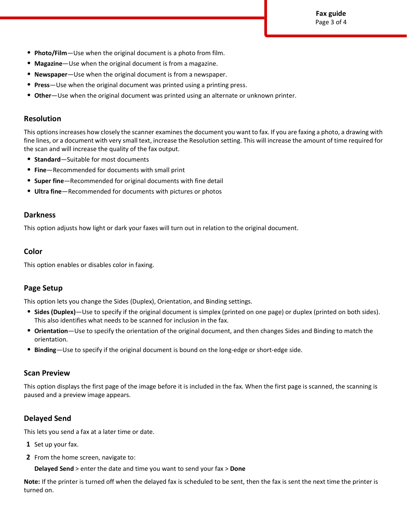**Fax guide** Page 3 of 4

- **• Photo/Film**—Use when the original document is a photo from film.
- **• Magazine**—Use when the original document is from a magazine.
- **• Newspaper**—Use when the original document is from a newspaper.
- **• Press**—Use when the original document was printed using a printing press.
- **• Other**—Use when the original document was printed using an alternate or unknown printer.

### **Resolution**

This options increases how closely the scanner examines the document you want to fax. If you are faxing a photo, a drawing with fine lines, or a document with very small text, increase the Resolution setting. This will increase the amount of time required for the scan and will increase the quality of the fax output.

- **• Standard**—Suitable for most documents
- **• Fine**—Recommended for documents with small print
- **• Super fine**—Recommended for original documents with fine detail
- **• Ultra fine**—Recommended for documents with pictures or photos

### **Darkness**

This option adjusts how light or dark your faxes will turn out in relation to the original document.

### **Color**

This option enables or disables color in faxing.

### **Page Setup**

This option lets you change the Sides (Duplex), Orientation, and Binding settings.

- **• Sides (Duplex)**—Use to specify if the original document is simplex (printed on one page) or duplex (printed on both sides). This also identifies what needs to be scanned for inclusion in the fax.
- **• Orientation**—Use to specify the orientation of the original document, and then changes Sides and Binding to match the orientation.
- **• Binding**—Use to specify if the original document is bound on the long-edge or short-edge side.

#### **Scan Preview**

This option displays the first page of the image before it is included in the fax. When the first page is scanned, the scanning is paused and a preview image appears.

## **Delayed Send**

This lets you send a fax at a later time or date.

- **1** Set up your fax.
- **2** From the home screen, navigate to:

**Delayed Send** > enter the date and time you want to send your fax > **Done**

**Note:** If the printer is turned off when the delayed fax is scheduled to be sent, then the fax is sent the next time the printer is turned on.